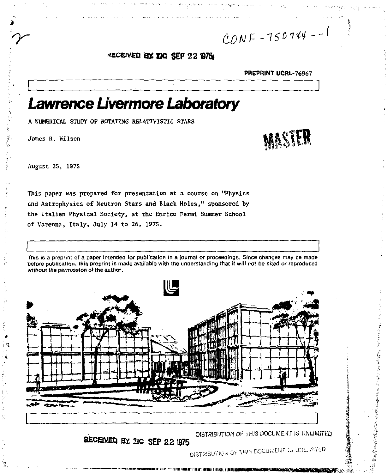CONF-750744--1

# RECEIVED BY TIC SEP 22 1975

PREPRINT UCRL-76967

# Lawrence Livermore Laboratory

A NUMERICAL STUDY OF ROTATING RELATIVISTIC STARS

James R. Wilson

August 25, 1975

This paper was prepared for presentation at a course on "Physics and Astrophysics of Neutron Stars and Black Holes," sponsored by the Italian Physical Society, at the Enrico Fermi Summer School of Varenna, Italy, July 14 to 26, 1975.

This is a preprint of a paper intended for publication in a journal or proceedings. Since changes may be made before publication, this preprint is made available with the understanding that it will not be cited or reproduced without the permission of the author.





的复数法无条件 医皮质骨质过多的 的复数医强烈性震颤性神经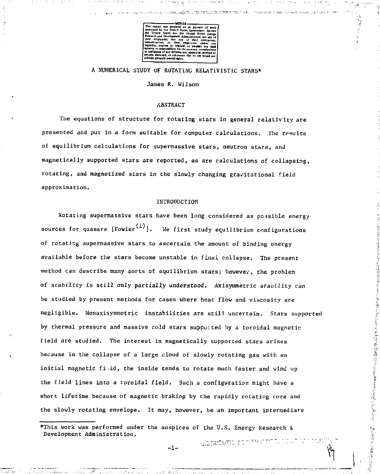

# A NUMERICAL STUDY OF ROTATING RELATIVISTIC STARS\*

James R. Wilson

### ABSTRACT

The equations of structure for rotating stars in general relativity are presented and put in a form suitable for computer calculations. The results of equilibrium calculations for supermassive stars, neutron stars, and magnetically supported stars are reported, as are calculations of collapsing, rotating, and magnetized stars in the slowly changing gravitational field approximation.

#### INTRODUCTION

Rotating supermassive stars have been long considered as possible energy sources for quasars  $[Four^{(1)}]$ . We first study equilibrium configurations of rotating supermassive stars to ascertain the amount of binding energy available before the stars become unstable in final collapse. The present method can describe many sorts of equilibrium stars; however, the problem of stability is still only partially understood. Axisymmetric stability can be studied by present methods for cases where heat flow and viscosity are negligible. Nonaxisymmetric instabilities are still uncertain. Stars supported by thermal pressure and massive cold stars supported by a toroidal magnetic field are studied. The interest in magnetically supported stars arises because in the collapse of a large cloud of slowly rotating gas with an initial magnetic fiid, the inside tends to rotate much faster and wind up the field lines into a toroidal field. Such a configuration might have a short lifetime because of magnetic braking by the rapidly rotating core and the slowly rotating envelope. It may, however, be an important intermediate

医阿尔特氏手术 计分析管 医神经病毒病毒病毒病毒病毒病毒病毒病毒病毒病毒病毒病毒病

この場合の2000年10月

\*This work was performed under the auspices of the U.S. Energy Research & Development Administration.

 $-1-$ 

U STRIDUTECH CE TRIS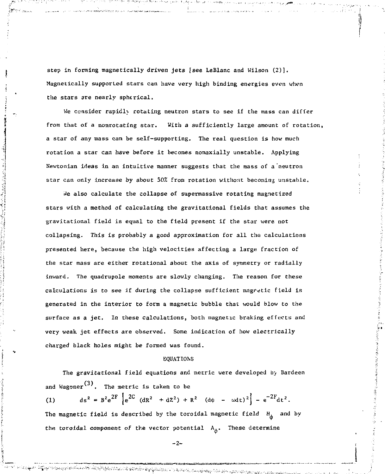step in forming magnetically driven jets [see LeBlanc and Wilson (2)]. Magnetically supported stars can have very high binding energies even when Che stars are nearly spherical.

We consider rapidly rotating neutron stars to see if the mass can differ from that of a nonrotating star. With a sufficiently large amount of rocation, a star of any mass can be self-supporting. The real question is how much rotation a star can have before it becomes nonaxially unstable. Applying Newtonian ideas in an intuitive manner suggests that the mass of a neutron star can only increase by about 50% from rotation without becoming unstable.

*vie* also calculate the collapse of supermassive rotating magnetized scars with a method of calculating the gravitational fields that assumes the gravitational field is equal to the field present if the star were not collapsing. This is probably a good approximation for all the calculations presented here, because the high velocities affecting a large fraction of the star mass are either rotational about the axis of symmetry or radially inward. The quadrupole moments are slowly changing. The reason for these calculations is to see if during the collapse sufficient magnetic field is generated in the interior to form a magnetic bubble that would blow to the surface as a jet. In these calculations, both magnetic braking effects and very weak jet effects are observed. Some indication of how electrically charged black holes might be formed was found.

#### **EQUATIONS**

The gravitational field equations and metric were developed *by* Bardeen and Wagoner<sup>(3)</sup>. The metric is taken to be

(1)  $ds^2 = B^2 e^{2F} \left[ e^{2C} (dR^2 + dZ^2) + R^2 (d\phi - \omega dt)^2 \right] - e^{-2F} dt^2$ .  $e^{i\theta}$  (d) and the 2 F d th and the except of the 2 F d t 2 F d t 2 F d t 2 F d t 2 F d t 2 F d t 2 F d t 2 F d t 2 F d t 2 F d t 2 F d t 2 F d t 2 F d t 2 F d t 2 F d t 2 F d t 2 F d t 2 F d t 2 F d t 2 F d t 2 F d t 2 the toroidal component of the vector potential  $A_{\phi}$ . These determine

 $- 2 -$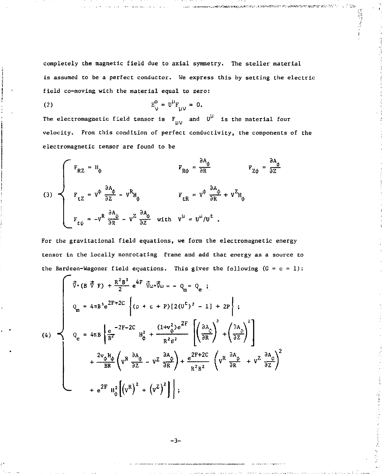completely the magnetic field due to axial symmetry. The steller material is assumed to be a perfect conductor. We express this by setting the electric field co-moving with the material equal to zero:

.<br>«««««««««» «Фибретези» проставление по советство протегательность

 $\frac{1}{2}$  ,  $\frac{1}{2}$  ,  $\frac{1}{2}$ 

$$
E_V^0 = U^{\mu}F_{\mu\nu} = 0.
$$

The electromagnetic field tensor is  $F_{(11)}$  and  $U^{\mu}$  is the material four velocity. From this condition of perfect conductivity, the components of the electromagnetic tensor are found to be

(3) 
$$
\begin{cases}\n F_{RZ} = H_{\phi} & F_{R\phi} = \frac{\partial A_{\phi}}{\partial R} & F_{Z\phi} = \frac{\partial A_{\phi}}{\partial Z} \\
 F_{LZ} = V^{\phi} \frac{\partial A_{\phi}}{\partial Z} - V^{R}H_{\phi} & F_{LR} = V^{\phi} \frac{\partial A_{\phi}}{\partial R} + V^{Z}H_{\phi} \\
 F_{L\phi} = -V^{R} \frac{\partial A_{\phi}}{\partial R} - V^{Z} \frac{\partial A_{\phi}}{\partial Z} & \text{with } V^{\mu} = U^{\mu}/U^{L}.\n\end{cases}
$$

For the gravitational field equations, we form the electromagnetic energy tensor in the locally nonrotating frame and add that energy as a source to the Bardeen-Wagoner field equations. This gives the following  $(G = c = 1)$ :

$$
(4)
$$
\n
$$
\begin{bmatrix}\n\vec{v} \cdot (B \vec{v} F) + \frac{R^2 B^3}{2} e^{4F} \vec{v} \omega \cdot \vec{v} \omega = -Q_m - Q_e ; \\
Q_m = 4 \pi B^3 e^{2F + 2C} \left\{ (p + \epsilon + P) [2(U^L)^2 - 1] + 2P \right\}; \\
Q_e = 4 \pi B \left\{ \frac{e}{B^2} - 2F - 2C \right\} H_\phi^2 + \frac{(1 + v_\phi^2) e^{2F}}{R^2 g^2} \left[ \left( \frac{\partial A_\phi}{\partial R} \right)^2 + \left( \frac{\partial A_\phi}{\partial Z} \right)^2 \right] \\
+ \frac{2v_\phi H_\phi}{BR} \left( v^R \frac{\partial A_\phi}{\partial Z} - v^Z \frac{\partial A_\phi}{\partial R} \right) + \frac{e^{2F + 2C}}{R^2 g^2} \left( v^R \frac{\partial A_\phi}{\partial R} + v^Z \frac{\partial A_\phi}{\partial Z} \right)^2 \\
+ e^{2F} H_\phi^2 \left[ \left( v^R \right)^2 + \left( v^Z \right)^2 \right] \right\};\n\end{bmatrix}
$$

-3-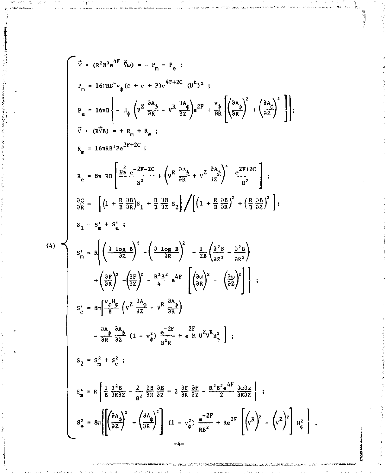$$
\vec{\tau} \cdot (\vec{R}^2 B^2 e^{4F} \vec{v}_{\omega}) = -P_m - P_e
$$
\n
$$
P_m = 16\pi R B^4 v_{\phi} (p + e + P)e^{4F + 2C} (U^L)^2 ;
$$
\n
$$
P_e = 16\pi B \left\{ - H_{\phi} \left( V^2 \frac{\partial A_{\phi}}{\partial R} - V^R \frac{\partial A_{\phi}}{\partial Z} \right) e^{2F} + \frac{v_{\phi}}{BR} \left( \frac{\partial A_{\phi}}{\partial R} \right)^2 + \left( \frac{\partial A_{\phi}}{\partial Z} \right)^2 \right\};
$$
\n
$$
\vec{\tau} \cdot (R \vec{\tau} B) = + R_m + R_e ;
$$
\n
$$
R_m = 16\pi R B^2 P e^{2F + 2C} ;
$$
\n
$$
R_e = 8\pi R B \left[ \frac{H_0^2 e^{-2F - 2C}}{B^2} + \left( V^R \frac{\partial A_{\phi}}{\partial R} + V^2 \frac{\partial A_{\phi}}{\partial Z} \right)^2 \frac{e^{2F + 2C}}{R^2} \right] ;
$$
\n
$$
\frac{\partial C}{\partial R} = \left[ \left( 1 + \frac{R}{B} \frac{\partial B}{\partial R} \right) S_1 + \frac{R}{B} \frac{\partial B}{\partial Z} S_2 \right] / \left[ \left( 1 + \frac{R}{B} \frac{\partial B}{\partial R} \right)^2 + \left( \frac{R}{B} \frac{\partial B}{\partial Z} \right)^2 \right] ;
$$
\n
$$
S_1 = S_m^* + S_e^* ;
$$
\n
$$
S_m^* = R \left\{ \left( \frac{\partial \log B}{\partial Z} \right)^2 - \left( \frac{\partial \log B}{\partial R} \right)^2 - \frac{1}{2B} \left( \frac{\partial^2 B}{\partial Z^2} - \frac{\partial^2 B}{\partial R^2} \right) \right\} ;
$$
\n
$$
S_e^* = 8\pi \left[ \frac{V_{\phi} H_{\phi}}{B} \left( V^2 \frac{\partial A_{\phi}}{\partial Z} - V^R \frac{\partial A_{\phi}}{\partial R} \right) \right]
$$
\n
$$
S_e^* = 8\pi \left[ \frac{
$$

aang sana jirtaa lag<mark>eelka soo waxaan kaleen ka i</mark>l lagee lageeda ah ayaa ka

me is: .<br>Seba

Ĵ

t

Ď

**Charles Advises** 

 $(4)$ 

سعطيته

网络弗雷斯氏陶瓷 医髂骨的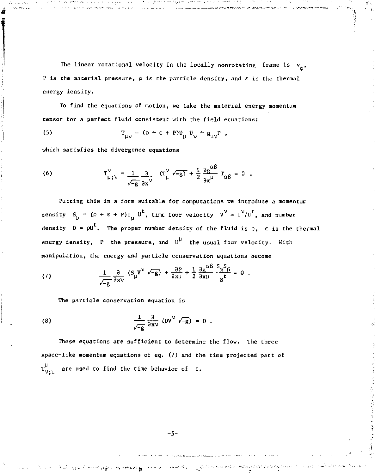The linear rotational velocity in the locally nonrotating frame is  $v_A$ , P is the material pressure,  $\rho$  is the particle density, and  $\varepsilon$  is the thermal energy density.

To find the equations of motion, we take the material energy momentum tensor for a perfect fluid consistent with the field equations:

(5) 
$$
T_{\mu\nu} = (\rho + \varepsilon + P)U_{\mu} U_{\nu} + g_{\mu\nu} P,
$$

which satisfies the divergence equations

(6) 
$$
T_{\mu;\nu}^{\nu} = \frac{1}{\sqrt{-g}} \frac{\partial}{\partial x^{\nu}} (T_{\mu}^{\nu} \sqrt{-g}) + \frac{1}{2} \frac{\partial g^{\alpha\beta}}{\partial x^{\mu}} T_{\alpha\beta} = 0
$$
.

Putting this in a form suitable for computations we introduce a momentum density  $S_{ij} = (\rho + \epsilon + P)U_{ij} U^t$ , time four velocity  $V^V = U^V/U^t$ , and number density  $D = \rho U^L$ . The proper number density of the fluid is  $\rho$ ,  $\varepsilon$  is the thermal energy density, P the pressure, and  $U^{\mu}$  the usual four velocity. With manipulation, the energy and particle conservation equations become

(7) 
$$
\frac{1}{\sqrt{-g}} \frac{\partial}{\partial x \nu} (S_{\mu} V^{\nu} \sqrt{-g}) + \frac{\partial P}{\partial x \mu} + \frac{1}{2} \frac{\partial g^{\alpha} B}{\partial x \mu} \frac{\partial \alpha^{3} B}{\partial t} = 0.
$$

The particle conservation equation is

(8) 
$$
\frac{1}{\sqrt{-g}} \frac{\partial}{\partial x^{\vee}} (DV^{\vee} \sqrt{-g}) = 0.
$$

These equations are sufficient to determine the flow. The three space-like momentum equations of eq. (7) and the time projected part of  $T_{\rm VtII}^{\mu}$  are used to find the time behavior of  $\epsilon$ .

 $-5-$ 

് സംഗ്ദര പ്രമുഖ പറഞ്ഞുകളെ പ്രദേശതകളെ ഒരു പിടങ്ങിയിരുന്നു. പുട്ടിക്കുമെത്തിൽ കഴിയിക്കുകയെത്തിയിരുന്ന് കൊണ്ടായി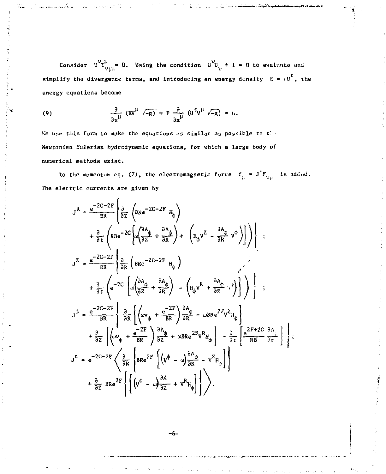Consider  $0^V T^{\mu}_{V \text{th}}$  0. Using the condition  $0^V U_V + 1 = 0$  to evaluate and simplify the divergence terms, and introducing an energy density  $E = \nu U^t$ , the energy equations become

(9) 
$$
\frac{\partial}{\partial x^{\mu}} (ev^{\mu} \sqrt{-g}) + P \frac{\partial}{\partial x^{\mu}} (U^{\mu} \sqrt{-g}) = 0.
$$

We use this form to make the equations as similar as possible to  $t$ . Newtonian Eulerian hydrodynamic equations, for which a large body of numerical methods exist.

To the momentum eq. (7), the electromagnetic force  $f_{L} = J^{V}F_{V|\lambda}$  is added. The electric currents are given by

$$
J^{R} = \frac{e^{-2C-2F}}{BR} \left\{ \frac{\partial}{\partial z} \left( BRe^{-2C-2F} H_{\phi} \right) \right\}
$$
  
\n
$$
+ \frac{\partial}{\partial t} \left( RBe^{-2C} \left[ \omega \left( \frac{\partial A_{\phi}}{\partial z} + \frac{\partial A_{\phi}}{\partial R} \right) + \left( H_{\phi} V^{Z} - \frac{\partial A_{\phi}}{\partial R} V^{\phi} \right) \right] \right) \right\};
$$
  
\n
$$
J^{Z} = \frac{e^{-2C-2F}}{BR} \left\{ \frac{\partial}{\partial R} \left( BRe^{-2C-2F} H_{\phi} \right) \right\}
$$
  
\n
$$
+ \frac{\partial}{\partial t} \left( e^{-2C} \left[ \omega \left( \frac{\partial A_{\phi}}{\partial z} + \frac{\partial A_{\phi}}{\partial R} \right) - \left( H_{\phi} V^{R} + \frac{\partial A_{\phi}}{\partial z} \right) \cdot \right) \right] \right\};
$$
  
\n
$$
J^{\phi} = \frac{e^{-2C-2F}}{BR} \left\{ \frac{\partial}{\partial R} \left[ \left( \omega v_{\phi} + \frac{e^{-2F}}{BR} \right) \frac{\partial A_{\phi}}{\partial R} - \omega BRe^{2\zeta} v^{Z} H_{\phi} \right] \right\}
$$
  
\n
$$
+ \frac{\partial}{\partial z} \left[ \left( \omega v_{\phi} + \frac{e^{-2F}}{BR} \right) \frac{\partial A_{\phi}}{\partial z} + \omega BRe^{2F} V^{R} H_{\phi} \right] - \frac{\partial}{\partial t} \left[ \frac{e^{2F+2C}}{RB} \frac{\partial A_{\phi}}{\partial t} \right] \right\};
$$
  
\n
$$
J^{L} = e^{-2C-2F} \left\{ \frac{\partial}{\partial R} \left\{ BRe^{2F} \left[ \left( v^{\phi} - \omega \right) \frac{\partial A_{\phi}}{\partial R} - v^{Z} H_{\phi} \right] \right\} \right\}.
$$

-6-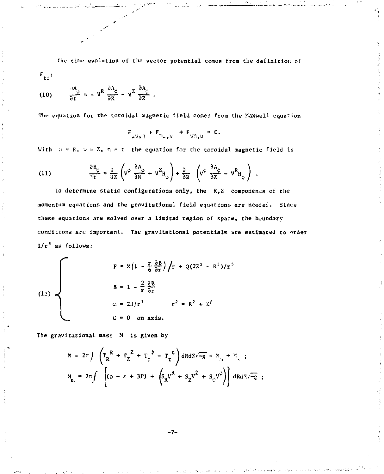**The time evolution of the vector potential comes from the definition of**   $F_{\pm\phi}$ :

(10) 
$$
\frac{\partial A_{\psi}}{\partial r} = -v^R \frac{\partial A_{\psi}}{\partial R} - v^Z \frac{\partial A_{\psi}}{\partial Z}.
$$

The equation for the toroidal magnetic field comes from the Maxwell equation

$$
F_{\mu\nu_{\nu}\gamma} + F_{\eta\mu_{\nu}\nu} + F_{\nu\eta_{\nu}\mu} = 0.
$$

With  $u \approx R$ ,  $v = Z$ ,  $\eta \approx t$  the equation for the toroidal magnetic field is

(11) 
$$
\frac{\partial H_{\phi}}{\partial t} = \frac{\partial}{\partial z} \left( v^{\phi} \frac{\partial A_{\phi}}{\partial R} + v^{Z} H_{\phi} \right) + \frac{\partial}{\partial R} \left( v^{\phi} \frac{\partial A_{\phi}}{\partial z} - v^{R} H_{\phi} \right) .
$$

To determine static configurations only, the R.Z componencs of the **momentum equations and the gravitational field equations are needed. Since conditions are important. The gravitational potentials are estimated to nrdeT** 

(12)  

$$
\begin{aligned}\nF &= M\left(1 - \frac{r}{6} \frac{\partial B}{\partial r}\right) / r + Q(2Z^{2} - R^{2}) / r^{5} \\
B &= 1 - \frac{2}{r} \frac{\partial B}{\partial r} \\
\omega &= 2J / r^{3} \qquad r^{2} = R^{2} + Z^{2} \\
C &= 0 \text{ on axis.} \n\end{aligned}
$$

**The gravitational mass M is given by** 

$$
N = 2\pi \int \left( T_R^R + T_Z^2 + T_{\varsigma}^2 - T_L^T \right) dR dZ \sqrt{-g} = N_{\rm in} + N_{\varsigma} ;
$$
  

$$
M_{\rm in} = 2\pi \int \left[ (\rho + \varepsilon + 3P) + \left( S_R V^R + S_Z V^2 + S_{\varsigma} V^2 \right) \right] dR dZ \sqrt{-g} ;
$$

**- 7-**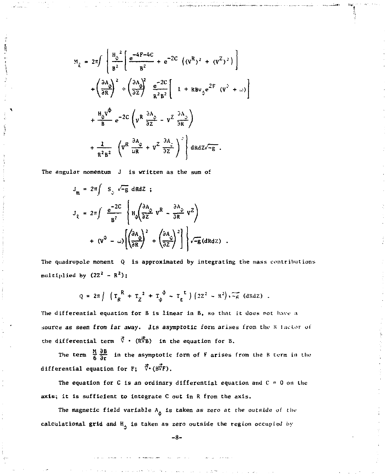$$
M_{\chi} = 2\pi \int \left[ \frac{H_{\phi}^{2}}{B^{2}} \left[ \frac{e^{-4}F^{-4}C}{B^{2}} + e^{-2C} \left( (v^{R})^{2} + (v^{Z})^{2} \right) \right] \right]
$$
  
+ 
$$
\left( \frac{\partial A_{\phi}}{\partial R} \right)^{2} \div \left( \frac{\partial A_{\phi}}{\partial Z} \right)^{2} \frac{e^{-2C}}{R^{2}B^{2}} \left[ 1 + R B v_{\phi} e^{2F} (v^{2} + \omega) \right]
$$
  
+ 
$$
\frac{H_{\phi}v^{\phi}}{B} e^{-2C} \left( v^{R} \frac{\partial A_{\phi}}{\partial Z} - v^{Z} \frac{\partial A_{\phi}}{\partial R} \right)
$$
  
+ 
$$
\frac{2}{R^{2}B^{2}} \left( v^{R} \frac{\partial A_{\phi}}{\partial R} + v^{Z} \frac{\partial A_{\phi}}{\partial Z} \right)^{2} \right] dR dZ \sqrt{-g} .
$$

The angular momentum J is written as the sum of

$$
J_{m} = 2\pi \int S_{\circ} \sqrt{-g} dR dZ ;
$$
  
\n
$$
J_{\rho} = 2\pi \int \frac{e^{-2C}}{B^{2}} \left\{ H_{\phi} \left( \frac{\partial A_{\phi}}{\partial Z} v^{R} - \frac{\partial A_{\phi}}{\partial R} v^{Z} \right) + (v^{\phi} - \omega) \left[ \left( \frac{\partial A_{\phi}}{\partial R} \right)^{2} + \left( \frac{\partial A_{\phi}}{\partial Z} \right)^{2} \right] \right\} \sqrt{-g} (dR dZ)
$$

The quadrupole moment Q is approximated by integrating the mass contributions multiplied by  $(22^2 - R^2)$ ;

$$
Q = 2\pi \int \left( T_R^R + T_Z^2 + T_\phi^{\phi} - T_t^{\phi} \right) \left( 2Z^2 - R^2 \right) \sqrt{-g} \text{ (dRdZ)}.
$$

The differential equation for B is linear in B, so that it does not have a source as seen from far away. Jts asymptotic form arises from the R factor of the differential term  $\vec{v}$  • ( $R\vec{v}_B$ ) in the equation for B.

The term  $\frac{M}{6} \frac{\partial B}{\partial r}$  in the asymptotic form of F arises from the B term in the differential equation for  $F$ ;  $\vec{v}$  ( $B\vec{v}$ F).

The equation for C is an ordinary differential equation and  $C = 0$  on the axis; it is sufficient to integrate C out in R from the axis.

The magnetic field variable  $A_{\phi}$  is taken as zero at the outside of the calculational grid and  $H_A$  is taken as zero outside the region occupied by

 $-8-$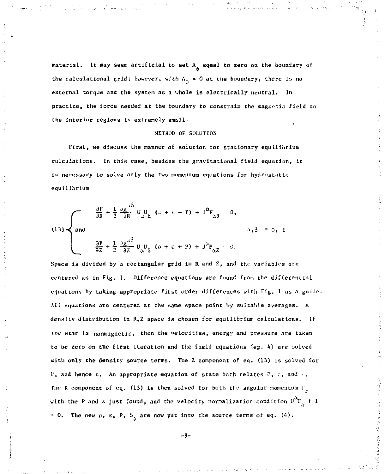material. It may seem artificial to set  $A_{\alpha}$  equal to zero on the boundary of the calculational grid; however, with  $A_{\phi} = 0$  at the boundary, there is no external torque and the system as a whole is electrically neutral. In practice, the force needed at the boundary to constrain the magnetic field to the interior regions is extremely smajl.

#### METHOD OF SOLUTION

first, we discuss the manner of solution for stationary equilibrium calculations. In this case, besides the gravitational field equation, it is necessary to solve only the two momentum equations for hydrostatic equilibrium

(13) 
$$
\begin{cases} \frac{\partial P}{\partial R} + \frac{1}{2} \frac{\partial g}{\partial R} \bigcup_{\mu} U_{\mu} & (\mu + \mu + P) + J^0 F_{\alpha R} = 0, \\ \frac{\partial P}{\partial Z} + \frac{1}{2} \frac{\partial g}{\partial Z} \bigcup_{\mu} U_{\beta} & (\mu + \mu + P) + J^0 F_{\alpha Z} & \forall \mu, \end{cases}
$$

Space is divided by a rectangular grid in  $R$  and  $Z<sub>s</sub>$  and the variables are centered as in Fig. 1. Difference equations are found from the differential equations by taking appropriate first order differences with Fig. 1 as a guide. Alt equations are centered at the same space point by suitable averages. A densiLy distribution in R,2 space is chosen for equilibrium calculations. If the star is nonmagnetic, then the velocities, energy and pressure are taken to be zero on the first iteration and the field equations (eg. 4) are solved with only the density source terms. The *Z* component of eq. (13) is solved for P, and hence  $\epsilon$ . An appropriate equation of state both relates P, c, and . The R component of eq. (13) is then solved for both the angular momentum  $V_{\infty}$ with the P and  $\varepsilon$  just found, and the velocity normalization condition  $U_{\nu}^{\mu} + 1$ = 0. The new  $\rho$ ,  $\varepsilon$ , P, S<sub>2</sub> are now put into the source terms of eq. (4).

- 9-

计微型程序 使 医中国人感觉性皮肤病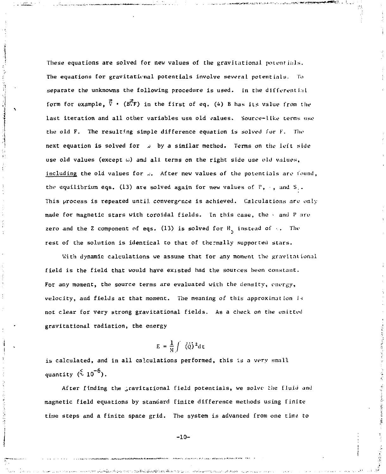These equations are solved for new values of the gravitational potentials. The equations for gravitatirnal potentials involve several potentials. To separate the unknowns the following procedure is used. In the differential form for example,  $\vec{V}$  • (BTF) in the first of eq. (4) B has its value from the last iteration and all other variables use old values. Source-like terms use the old F. The resulting simple difference equation is solved for F. The next equation is solved for .J by a similar method. Terms on the left side use old values (except  $\omega$ ) and all terms on the right side use old values, including the old values for  $\omega$ . After new values of the potentials are found, the equilibrium eqs. (13) are solved again for new values of  $P_1$ , and S.. This process is repeated until convergence is achieved. Calculations are only made for magnetic stars with toroidal fields. In this case, the  $\cdot$  and P are zero and the Z component of eqs. (13) is solved for  $H_n$  instead of  $\ldots$  The rest of the solution is identical to that of thermally supported stars.

With dynamic calculations we assume that for any moment the gravitational field is the field that would have existed had the sources been constant. For any moment, the source terms are evaluated with the density, energy, velocity, and fields at that moment. The meaning of this approximation is not clear for very strong gravitational fields. As a check on the emitted gravitational radiation, the energy

$$
E = \frac{1}{M} \int \dot{\phi} \dot{\phi}^2 dt
$$

is calculated, and in all calculations performed, this is a very small quantity  $({}^{6}_{2} 10^{-6})$ .

After finding the gravitational field potentials, we solve- *the* fluid and magnetic field equations by standard finite difference methods using finite time steps and a finite space grid. The system is advanced from one time to

-10-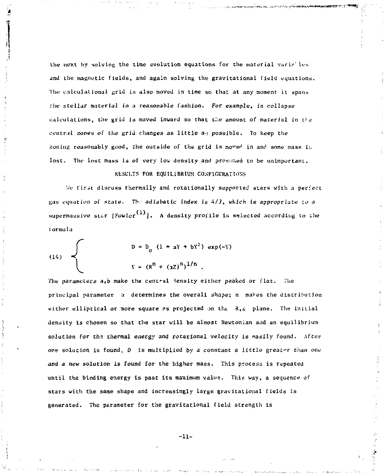the next by solving the time evolution equations for the material varial les and the magnetic fields, and again solving the gravitational field equations. The calculational grid is also moved in time so that at any moment it spans the stellar material in a reasonable fashion. For example, in collapse calculations, the grid is moved inward so that the amount of material in the central zones of the grid changes as little a<sub>2</sub> possible. To keep the zoning reasonably good, the outside of the grid is moved in and some mass i;. lost. The lost mass is of very low density and prosumed to be unimportant.

#### RESULTS FOR EQUILIBRIUM CONFIGURATIONS

We first discuss thermally and rotationally supported stars with a perfect gas equation of state. The adiabatic index is  $4/3$ , which is appropriate to a supermassive star [Fowler<sup>(1)</sup>]. A density profile is selected according to the formula

(14) 
$$
\begin{array}{c}\nD = D_0 (1 + aY + bY^2) \exp(-Y) \\
\downarrow Y = (R^n + (3Z)^n)^{1/n} .\n\end{array}
$$

The parameters  $a,b$  make the central density either peaked or flat. The principal parameter *z.* determines the overall shape; n maVes the distribution either elliptical or more square as projected on the  $R, Z$  plane. The initial density is chosen so that the star will be almost Newtonian and an equilibrium solution for the thermal energy and rotacional velocity is easily found. After one solution is found.  $D$  is multiplied by a constant a little greater than one and *a new* solution is found for the higher mass. This process is repeated until the binding energy is past its maximum value. This way, a sequence of stars with the same shape and increasingly large gravitational fields is generated. The parameter for the gravitational field strength is

-11-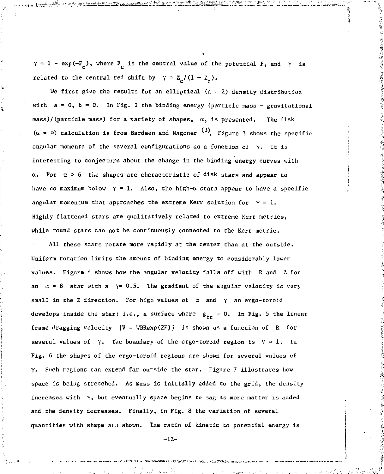$\gamma = 1 - \exp(-F_c)$ , where  $F_c$  is the central value of the potential F, and  $\gamma$  is related to the central red shift by  $\gamma = Z_c/(1 + Z_c)$ .

¢,

We first give the results for an elliptical  $(n = 2)$  density distribution with  $a = 0$ ,  $b = 0$ . In Fig. 2 the binding energy (particle mass - gravitational mass)/(particle mass) for a variety of shapes,  $\alpha$ , is presented. The disk ( $\alpha$  =  $\infty$ ) calculation is from Bardeen and Wagoner  $\sim$  . Figure 3 shows the specific angular momenta of the several configurations as a function of  $\gamma$ . It is interesting to conjecture about the change in the binding energy curves with For  $\alpha > 6$  the shapes are characteristic of disk stars and appear to have no maximum below  $y = 1$ . Also, the high- $\alpha$  stars appear to have a specific angular momentum that approaches the extreme Kerr solution for  $\gamma = 1$ . Highly flattened stars are qualitatively related to extreme Kerr metrics, while round stars can not be continuously connected to the Kerr metric.

All these stars rotate more rapidly at the center than at the outside. Uniform rotation limits the amount of binding energy to considerably lower values. Figure 4 shows how the angular velocity falls off with R and *Z* for an  $\alpha = 8$  star with a  $\gamma = 0.5$ . The gradient of the angular velocity is very small in the Z direction. For high values of  $\alpha$  and  $\gamma$  an ergo-toroid develops inside the star; i.e., a surface where  $g_{rr} = 0$ . In Fig. 5 the linear frame dragging velocity  $[V = WBRexp(2F)]$  is shown as a function of R for several values of  $\gamma$ . The boundary of the ergo-toroid region is  $V = 1$ . In Fig. 6 the shapes of the ergo-toroid regions are shown for several values of y. Such regions can extend far outside the star. Figure 7 illustrates how space is being stretched. As mass is initially added to the grid, the density increases with  $\gamma$ , but eventually space begins to sag as more matter is added and the density decreases. Finally, in Fig, 8 the variation of several quantities with shape ard shown. The ratio of kinetic to potential energy is

-12-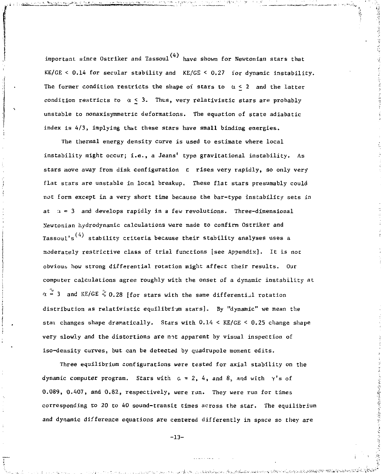important since Ostriker and Tassoul<sup>(4)</sup> have shown for Newtonian stars that KE/GE < 0.14 for secular stability and KE/GE < 0,27 for dynamic instability. The former condition restricts the shape of stars to  $\alpha < 2$  and the latter condition restricts to  $\alpha < 3$ . Thus, very relativistic stars are probably unstable to nonaxisymmetric deformations. The equation of state adiabatic index is 4/3, implying that these stars have small binding energies.

The thermal energy density curve is used to estimate where local instability might occur; i.e., a Jeans' type gravitational instability. As stars move away from disk configuration e rises very rapidly, so only very flat stars are unstable in local breakup. These flat stars presumably could not form except in a very short time because the bar-type instability sets in at  $\alpha = 3$  and develops rapidly in a few revolutions. Three-dimensional Newtonian hydrodynamic calculations were made to confirm Ostriker and Tassoul's<sup> $(4)$ </sup> stability criteria because their stability analyses uses a moderately restrictive class of trial functions [see Appendix]. It is not obvious how strong differential rotation might affect their results. Our computer calculations agree roughly with the onset of a dynamic instability at  $\alpha = 3$  and KE/GE  $\sqrt[3]{0.28}$  [for stars with the same differential rotation distribution as relativistic equilibrium stars]. By "dynamic" we mean the stai changes shape dramatically. Stars with 0.14 < KE/GE < 0.25 change shape very slowly and the distortions are not apparent by visual inspection of iso-density curves, but can be detected by quadrupole moment edits.

Three equilibrium configurations were tested for axial stability on the dynamic computer program. Stars with  $\alpha = 2$ , 4, and 8, and with  $\gamma'$ s of 0.089, 0.407, and 0.82, respectively, were run. They were run for times corresponding to 20 to 40 sound-transit times across the star. The equilibrium and dynamic difference equations are centered differently in space so they are

-13-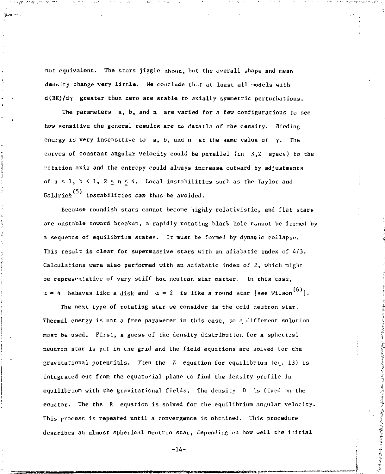not equivalent. The stars jiggle about, but the overall shape and mean density change very little. We conclude that at least all models with d(BE)/dy greater than zero are stable to asially symmetric perturbations.

The parameters a, b, and n are varied for a few configurations to see how sensitive the general results are to details of the density. Binding energy is very insensitive to a, b, and n at the same value of *y.* The curves of constant angular velocity could be parallel (in R,Z space) to the i-otation axis and the entropy could always increase outward by adjustments of  $a < 1$ ,  $b < 1$ ,  $2 \le n \le 4$ . Local instabilities such as the Taylor and Goldrich<sup>(5)</sup> instabilities can thus be avoided.

Because roundish stars cannot become highly relativistic, and flat stars are unstable toward breakup, a rapidly rotating black hole cannot be formed by a sequence of equilibrium states. It must be formed by dynamic collapse. This result is clear for supermassive stars with an adiabatic index of 4/3. Calculations were also performed with an adiabatic index of 2, which might be representative of very stiff hot neutron star matter. In this case,  $\alpha$  = 4 behaves like a disk and  $\alpha$  = 2 is like a round star [see Wilson<sup>(6)</sup>].

The next type of rotating star we consider is the cold neutron star. Thermal energy is not a free parameter in this case, so a different solution must be used. First, a guess of the density distribution for a spherical neutron star is put in the grid and the field equations are solved for the gravitational potentials. Then the Z equation for equilibrium (eq. 13) is integrated out from the equatorial plane to find the density profile in equilibrium with the gravitational fields. The density D is fixed on the equator. The the R equation is solved for the equilibrium angular velocity. This process is repeated until a convergence is obtained. This procedure describes an almost spherical neutron star, depending on how well the initial

-14-

「ことのことにはないことのかいところをつい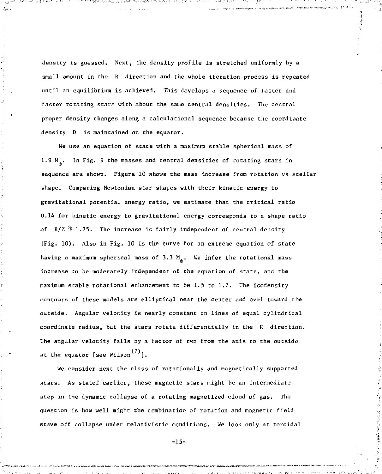density is guessed. Next, the density profile is stretched uniformly by a small amount in the R direction and the whole iteration process is repeated until an equilibrium is achieved. This develops a sequence of faster and faster rotating stars with about the sawe central densities. The central proper density changes along a calculational sequence because the coordinate density  $D$  is maintained on the equator.

We use an equation of state with a maximum stable spherical mass of 1.9  $M_{\odot}$ . In Fig. 9 the masses and central densities of rotating stars in sequence are shown. Figure 10 shows the mass increase from rotation vs stellar shape. Comparing Newtonian star shates with their kinetic energy to gravitational potential energy ratio, we estimate that the critical ratio 0.14 for kinetic energy to gravitational energy corresponds to a shape ratio of  $R/Z \tbinom{2}{3}$  1.75, The increase is fairly independent of central density (Fig. 10). Also in Fig. 10 is the curve for an extreme equation of state having a maximum spherical mass of 3.3  $M_{\odot}$ . We infer the rotational mass increase to be moderately independent of the equation of state, and the maximum stable rotational enhancement to be 1.5 to 1.7, The isodensity contours of these models are elliptical near the center and oval toward the outside. Angular velor.ity is nearly constant on lines of equal cylindrical coordinate radius, but the stars rotate differentially in the R direction. The angular velocity falls by a factor of two from the axis to the outside at the equator [see Wilson $^{(7)}$ ].

We consider next the clsss of rotationally and magnetically supported stars. As stated earlier, these magnetic stars might be an intermediate step in the dynamic collapse of a rotating magnetized cloud of gas. The question is how well might the combination of rotation and magnetic field stave off collapse under relativistic conditions. We look only at toroidal

-15-

医阿尔伯氏试验检尿道检查检查检查检查检查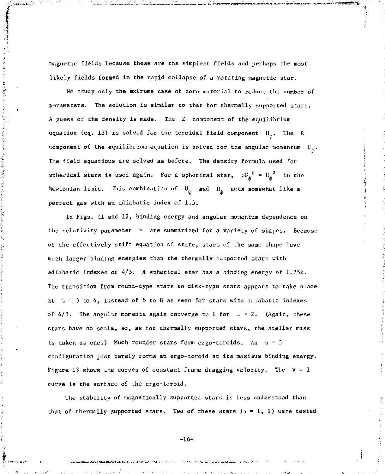magnetic fields because these are the simplest fields and perhaps the most likely fields formed in the rapid collapse of a rotating magnetic star.

法人法律的人 医无线菌素 计无语句 医颈部的 医小脑动脉 医生物学

We study only the extreme case of zero material to reduce the number of parameters. The solution is similar to that for thermally supported stars. A guess of the density is made. The *Z* component of the equilibrium equation (eq. 13) is solved for the toroidal field component  $H_{\alpha}$ . The R component of the equilibrium equation is solved for the angular momentum  $U_{\alpha}$ . The field equations are solved as before. The density formula used for spherical stars is used again. For a spherical star,  $\omega_{\phi}^{2} = H_{\phi}^{2}$  in the Newtonian limit. This combination of  $U_{\phi}$  and  $H_{\phi}$  acts somewhat like a perfect gas with an adiabatic index of 1.5.

In Figs. 11 and 12, binding energy and angular momentum dependence on the relativity parameter *y* are summarised for a variety of shapes. Because of the effectively stiff equation of state, stars of the same shape have much larger binding energies than the thermally supported stars with adiabatic indexes of  $4/3$ . A spherical star has a binding energy of  $1.25\%$ . The transition from round-type stars to disk-type stars appears to take place at  $x = 3$  to 4, instead of 6 to 8 as seen for stars with a *i*abatic indexes of  $4/3$ . The angular momenta again converge to 1 for  $\alpha > 2$ . (Again, these stars have no scale, so, as for thermally supported stars, the stellar mass is taken as one.) Much rounder stars form ergo-toroids. An  $u = 3$ configuration just barely forms an ergo-toroid at its maximum binding energy. Figure 13 shows the curves of constant frame dragging velocity. The  $V = 1$ curve is the surface of the ergo-toroid.

The stability of magnetically supported stars is less understood than that of thermally supported stars. Two of these stars *(\ = 1, 2)* were tested

 $-16-$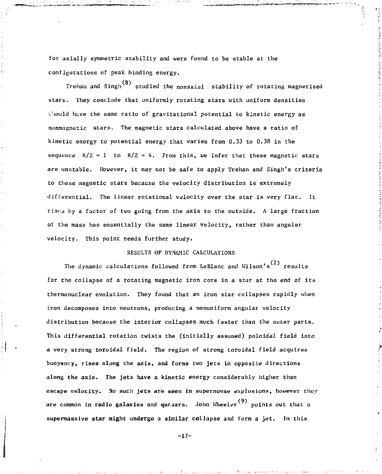for axially symmetric stability and were found to be stable at the configurations of peak binding energy.

Trehan and Singh<sup>(8)</sup> studied the nonaxial stability of rotating magnetized stars. They conclude that uniformly rotating stars with uniform densities t'.iould hcve the same ratio of gravitational potential to kinetic energy as nonmagnetic stars. The magnetic stars calculated above have a ratio of kinetic energy to potential energy that varies from 0.33 to 0.38 in the sequence  $R/Z = 1$  to  $R/Z = 4$ . From this, we infer that these magnetic stars are unstable. However, it may not be safe to apply Trehan and Singh's criteria to these magnetic stars because the velocity distribution is extremely differential. The linear rotational velocity over the star is very flat. It *rises* by a factor of two going from the axis to the outside. A large fraction of the mass has essentially the same linear velocity, rather than angular velocity. This point needs further study.

#### RESULTS OF DYNAMIC CALCULATIONS

The dynamic calculations followed from LeBlanc and Wilson's<sup>(2)</sup> results for the collapse of a rotating magnetic iron core in a star at the end of its thermonuclear evolution. They found that an iron star collapses rapidly when iron decomposes into neutrons, producing a nonuniform angular velocity distribution because the interior collapses much faster than the outer parts. This differential rotation twists the (initially assumed) poloidal field into a very strong toroidal field. The region of strong toroidal field acquires buoyancy, rises along the axis, and forms two jets in opposite directions along the axis. The jets have **a** kinetic energy considerably higher than escape velocity. No such jets are seen in supernovae explosions, however they are common in radio galaxies and quasars. John Wheeler<sup>(9)</sup> points out that a supermasslve **star might undergo a similar** collapse and form a jet. In this

-17-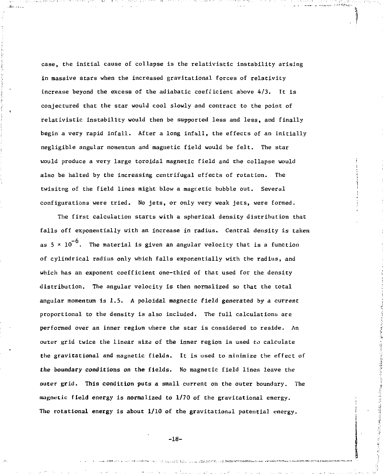case, the initial cause of collapse is the relativistic instability arising in massive stars when the increased gravitational forces of relativity increase beyond the excess of the adiabatic coefficient above 4/3. It is conjectured that the star would cool slowly and contract to the point of relativistic instability would then be supported less and less, and finally begin a very rapid infall. After a long infall, the effects of an initially negligible angular momentum and magnetic field would be felt. The star would produce a very large toroidal magnetic field and the collapse would also be halted by the increasing centrifugal effects of rotation. The twisitng of the field lines might blow a magnetic bubble out. Several configurations were tried. No jets, or only very weak jets, were formed.

The first calculation starts with a spherical density distribution that falls off exponentially with an increase in radius. Central density *is* taken as  $5 \times 10^{-6}$ . The material is given an angular velocity that is a function of cylindrical radius only which falls exponentially with the radius, and which has an exponent coefficient one-third of that used for the density distribution. The angular velocity is then normalized so that the total angular momentum is  $1.5$ . A poloidal magnetic field generated by a current proportional to the density is also included. The full calculations are performed over an inner region where the star is considered to reside. An outer grid twice the linear size of the inner region is used *to* calculate the gravitational and magnetic fields. It is used to minimize the effect of the boundary conditions on the fields. No magnetic field lines leave the outer grid. This condition puts a small current on the outer boundary. The magnetic field energy is normalized to 1/70 of the gravitational energy. The rotational energy is about 1/10 of the gravitational potential energy.

-18-

.<br>The company of the statistics and consequent to contract the company of the contract of the contract of the co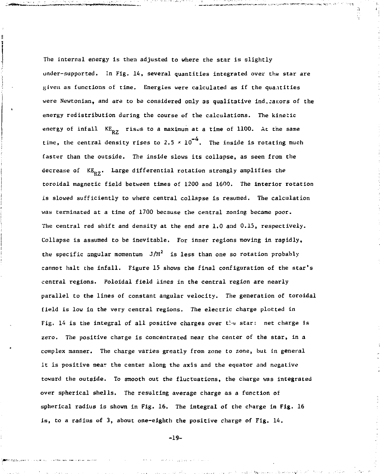The internal energy is then adjusted to where the star is slightly under-supported. In Fig. 14, several quantities integrated over the star are given as functions of time. Energies were calculated as if the quantities were Newtonian, and are to be considered only as qualitative indecarors of the energy redistribution during the course of the calculations. The kinetic energy of infall  $KE_{p7}$  rises to a maximum at a time of 1100. At the same time, the central density rises to 2.5  $\times$  10<sup>-4</sup>. The inside is rotating much faster than the outside. The inside slows its collapse, as seen from the decrease of  $KE_{p2}$ . Large differential rotation strongly amplifies the toroidal magnetic field between times of 1200 and 1600. The interior rotation is slowed sufficiently to where central collapse is resumed. The calculation was terminated at a time of 1700 because the central zoning became poor. The central red shift and density at the end are 1.0 and 0.15, respectively. Collapse is assumed to be inevitable. For inner regions moving in rapidly, the specific angular momentum  $J/M^2$  is less than one so rotation probably cannot halt the infall. Figure 15 shows the final configuration of the star's central regions. Poloidal field lines in the central region are nearly parallel to the lines of constant angular velocity. The generation of toroidal field is low in the very central regions. The electric charge plotted in Fig. 14 is the integral of all positive charges over  $t! \approx$  star: net charge is zero. The positive charge is concentrated near the center of the star, in a complex manner. The charge varies greatly from zone to zone, but in general it is positive near the center along the axis and the equator and negative toward the outside. To smooth out the fluctuations, the charge was integrated over spherical shells. The resulting average charge as a function of spherical radius is shown in Fig. 16. The integral of the charge in Fig. 16 is, to a radius of 3, about one-eighth the positive charge of Fig. 14.

-19-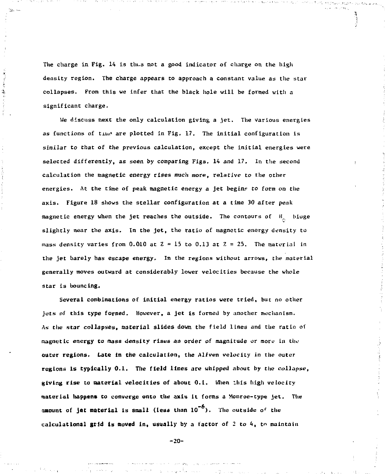The charge in Fig. 14 is thus not a good indicator of charge on the high deasity region. The charge appears to approach a constant value as the star collapses. From this we infer that the black hole will be formed with a significant charge.

ś ني<br>په

> We discuss next the only calculation giving a jet. The various energies as functions of time are plotted in Fig. 17. The initial configuration is similar *to that* of the previous calculation, except the initial energies were selected differently, as seen by comparing Figs. 14 and 17. In the second calculation the magnetic energy rises much more, relative *to* the other energies. At the time of peak magnetic energy a jet begins to form on the axis. Figure 18 shows the stellar configuration at a time 30 after peak magnetic energy when the jet reaches the outside. The contours of  $H_{\rm g}$  biuge slightly near the axis. In the jet, the ratio of magnetic energy density to mass density varies from  $0.010$  at  $Z = 15$  to  $0.13$  at  $Z = 25$ . The material in the jet barely has escape energy. In the regions without arrows, the material generally moves outward at considerably lower velocities because the whole star is bouncing.

Several combinations of initial energy ratios were tried, but no other juts of this type formed. However, a jet is formed by another mechanism. As the star collapses, material slides down the field lines and the ratio of magnetic energy to *mass density* rises an order *of* magnitude or more in the outer regions. Late in the calculation, the Alfven velocity in the outer regions is typically 0.1. The field lines are whipped about by the collapse, giving **rise to material** velocities of about 0.1. Mien litis high velocity **material happens** to converge onto the axis it forms a Monroe-type jet. The amount of jet material is small (less than  $10^{-9}$ ). The outside of the calculational grid is moved in, usually by a factor of 2 to 4, to maintain

-20-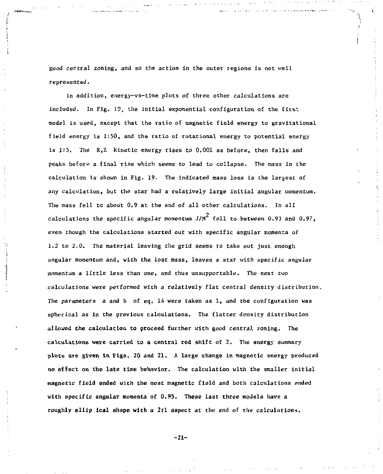good central zoning, and so the action in the outer regions is not well represented.

In addition, energy-vs-time plots of three other calculations are included. In Fig. 19, the initial exponential configuration of the first model is used, except that the ratio of magnetic field energy to gravitational field energy is 1:50, and the ratio of rotational energy to potential energy is 1:5. The  $R_1Z$  kinetic energy rises to 0.001 as before, then falls and peaks before a final rise which seems to lead to collapse. The mass in the calculation is shown In Fig. 19. The indicated mass loss is the largest of any calculation, but the star had a relatively large initial angular momentum. The mass fell to about 0.9 at the end of all other calculations. In all calculations the specific angular momentum J/M $^2$  fell to between 0.93 and 0.97,  $\,$ even though the calculations started out with specific angular momenta of 1.2 to 2.0. The material leaving the grid seems ro take out just enough angular momentum and, with the lost mass, leaves a star with specific angular momentum a little less than one, and thus unsupportable. The next two calculations were performed with a relatively flat central density distribution. The parameters a and b of eq, 14 were taken as 1, and the configuration was spherical as in the previous calculations. The flatter density distribution allowed the calculation to proceed further with good central zoning. The calculations were carried to a central red shift of 2. The energy summary plots are given in Figs. 20 and 21. A large change in magnetic energy produced no effect on the late time behavior. The calculation with the smaller initial magnetic field ended with the most magnetic field and both calculations ended with specific angular momenta of 0,95. These last three models have a roughly ellip ical shape with a 2:1 aspect at the end of the calculations.

-21-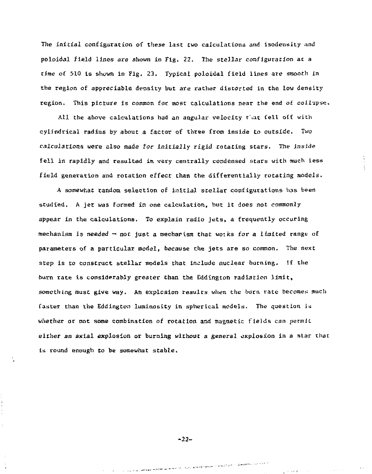The initial configuration of these last two calculations and isodensity and poloidal field lines are shown in Tig. 22. The stellar configuration at a time of 510 is shown in Fig. 23. Typical poloidal field lines are smooth *in*  the region of appreciable density but are rather distorted in the low density region. This picture is common foe most calculations near the end of collapse.

All the above calculations had an angular velocity that fell off with cylindrical radius by about a factor of three from inside to outside. Two calculations were also made for initially rigid rotating stars. The inside fell in rapidly and resulted in very centrally condensed stars with much less field generation and rotation effect Chan the differentially rotating models.

A somewhac random selection of initial stellar configurations has been studied. A jet was formed in one calculation, but it does not commonly appear in the calculations. To explain radio jets, a frequently occuring mechanism is needed - not just a mecharism that works for a limited range of parameters of a particular model, because the jets are so common. The next step is to construct stellar models that include nuclear burning, if the burn rate is considerably greater Chan the Eddington radiation limit, something must give way. An explcsion results when the burn rate becomes much faster than the Eddington luminosity in spherical models. The question is whether or not some combination of rotation and magnetic fields can permit either an axial explosion or burning without a general explosion in a star that is round enough to be somewhat stable.

-22-

i su via laken kemik komik oli suo kalendralo na pasti yhti takaalessa sella sit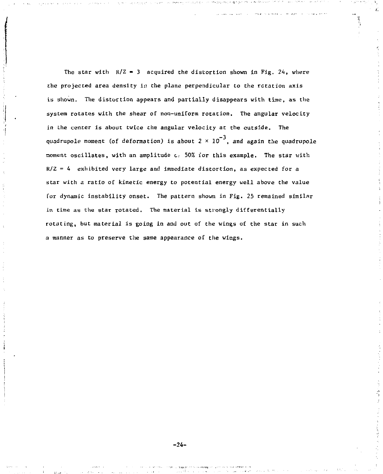The star with  $R/Z = 3$  acquired the distortion shown in Fig. 24, where the projected area density in the plane perpendicular to the rotation axis is shown. The distortion appears and partially disappears with time, as the system rotates with the shear of non-uniform rotation. The angular velocity in the center is about twice the angular velocity at the outside. The quadrupole moment (of deformation) is about 2  $\times$  10 $^{-3}$ , and again the quadrupole noment oscillates, with an amplitude *o;* 50% for this example. The star with R/Z = 4 exhibited very large and immediate distortion, as expected for a star with a ratio of kinetic energy to potential energy well above the value for dynamic instability onset. The pattern shown in Fig. 25 remained similar in time as the star rotated. The material is strongly differentially rotating, but material is going in and out of the wings of the star in such a manner as to preserve the same appearance of the wings.

-24-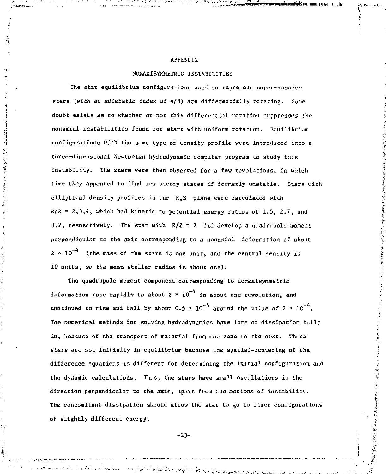## APPENDIX

# NONAXISYMMETRIC INSTABILITIES

The star equilibrium configurations used to represent super-massive *stars (with an* adiabatic index of 4/3) are differentially rotating. Some doubt exists as to whether or not this differential rotation suppresses the nonaxial instabilities found for stars with uniform rotation. Equilibrium configurations with the same type of density profile were introduced into a three-dimensional Newtonian hydrodynamic computer program to study this instability. The stars were then observed for a few revolutions, in which time they appeared to find new steady states if formerly unstable. Stars with elliptical density profiles in the R,Z plane were calculated with  $R/Z = 2,3,4$ , which had kinetic to potential energy ratios of 1.5, 2.7, and 3.2, respectively. The star with  $R/Z = 2$  did develop a quadrupole moment perpendicular to the axis corresponding to a nonaxial deformation of about  $2 \times 10^{-4}$  (the mass of the stars is one unit, and the central density is *10* units, so the mean stellar radius is about one).

**THE THE SECTION OF SECTION AND SECTION OF SECTION AND SECTION AND SECTION AND SECTION AND SECTION AND SECTION AND SECTION AND SECTION AND SECTION AND SECTION AND SECTION AND SECTION AND SECTION AND SECTION AND SECTION AND** 

ś,

The quadrupole moment component corresponding to nonaxisymmetric deformation rose rapidly to about  $2 \times 10^{-4}$  in about one revolution, and continued to rise and fall by about 0.5  $\times$  10<sup>-4</sup> around the value of 2  $\times$  10<sup>-4</sup>. The numerical methods for solving hydrodynamics have lots of dissipation built in, because of the transport of material from one zone to the next. These stars are not initially in equilibrium because the spatial-centering of the difference equations is different for determining the initial configuration and the dynamic calculations. Thus, the stars have small oscillations in the direction perpendiculat to the axis, apart from the motions of instability. The concomitant dissipation should allow the star to  $\beta$  to other configurations of slightly different energy.

-23-

e de la final de la Constitución de la constitución de la constitución de la compactación de la compactación d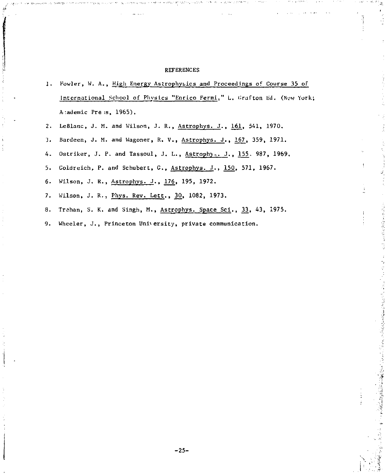#### **REFERENCES**

- 1. Fowler, W. A., High Energy Astrophysics and Proceedings of Course 35 of International School of Physics "Enrico Fermi," L. Grafton Ed. (New York; A-.ademic Pre ;s, 1965).
- 2. LeBlanc, J. M. and Wilson, J. R., Astrophys. J., 161, 541, 1970.
- 3. Bardeen, J. M. and Wagoner, R. V., Astrophys. J., 167, 359, 1971.

4. Ostriker, J. P. and Tassoul, J. L., Astrophys. J., 155. 987, 1969.

- 5. Goldreich, P. and Schubert, G., Astrophys. J., 150, 571, 1967.
- 6. Wilson, J. R., Astrophvs. J.. 176, 195, 1972.
- 7. Wilson, J. R., Phys. Rev. Lett., 30, 1082, 1973.
- 8. Trehan, S. K. and Singh, M., Astrophys. Space Sci., 33, 43, 1975.

**Contract Contract Contract Contract Contract** 

**「1177」を選ば先輩は理解する。** 

9. Wheeler, J., Princeton University, private communication.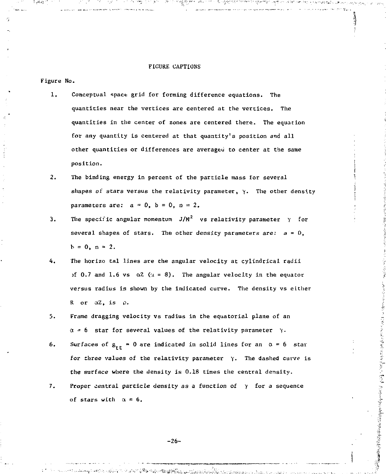#### FIGURE CAPTIONS

#### Figure No.

- 1. Conceptual space grid for forming difference equations. The quantities near the vertices are centered at the vertices. The quantities in the center of zones are centered there. The equation for any quantity is centered at that quantity's position and all other quantities or differences are averaged to center at the same position.
- 2. The binding energy in percent of the particle mass for several shapes of stars versus the relativity parameter, *y.* The other density parameters are:  $a = 0$ ,  $b = 0$ ,  $n = 2$ ,
- 3. The specific angular momentum  $J/M^2$  vs relativity parameter  $\gamma$  for several shapes of stars. The other density parameters are:  $a = 0$ .  $h = 0, n = 2.$
- 4. The horizo tal lines are the angular velocity at cylindrical radii of 0.7 and 1.6 vs  $\alpha$ 2 ( $\alpha$  = 8). The angular velocity in the equator versus radius is shown by the indicated curve. The density vs either R or aZ, is p.
- 3. Frame dragging velocity vs radius in the equatorial plane of an  $\alpha = 6$  star for several values of the relativity parameter  $\gamma$ .
- 6. Surfaces of  $g_{rr} = 0$  are indicated in solid lines for an  $\alpha = 6$  star for three values of the relativity parameter *y.* The dashed curve is the surface where the density is 0.18 times the central density.
- 7. Proper central particle density *as* a function of *y* for a sequence of stars with  $\alpha = 6$ .

 $-26-$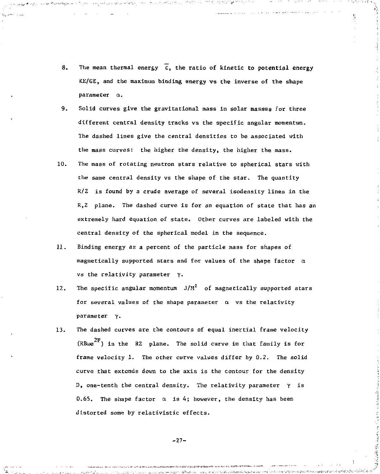8. The mean thermal energy  $\overline{\epsilon}$ , the ratio of kinetic to potential energy KK/GE, and the maximum binding energy vs the inverse of the shape parameter a.

 $\Theta_{\rm C}$  and  $\Theta_{\rm C}$  and  $\Theta_{\rm C}$  are  $\Theta_{\rm C}$  and

 $\label{eq:2} \mathcal{L}^{\alpha\beta}(\mathcal{L}^{\alpha\beta})=\mathcal{L}^{\alpha\beta}(\mathcal{L}^{\alpha\beta})=\mathcal{L}^{\alpha\beta}(\mathcal{L}^{\alpha\beta})$ 

- 9. Solid curves give the gravitational mass in solar masses for three different central density tracks vs the specific angular momentum. The dashed lines give the central densities to be associated with the mass curves: the higher the density, the higher the mass.
- 10. The mass of rotating neutron stars relative to spherical stars with the same central density vs the shape of the star. The quantity R/Z is found by a crude average of several isodensity lines in the R,Z plane. The dashed curve is for an equation of state that has an extremely hard equation of state. Other curves are labeled with the central density of the spherical model in the sequence.
- 11. Binding energy as a percent of the particle mass for shapes of magnetically supported stars and for values of the shape factor  $\alpha$ vs the relativity parameter Y-
- 12. The specific angular momentum  $J/M^2$  of magnetically supported stars for several values of the shape parameter  $\alpha$  vs the relativity parameter *y.*
- 13. The dashed curves are the contours of equal inertial frame velocity  $(RB\omega e^{2F})$  in the RZ plane. The solid curve in that family is for frame velocity 1. The other curve values differ by 0.2, The solid curve that extends down to the axis is the contour for the density D, one-tenth the central density. The relativity parameter *y* is 0.65. The shape factor  $\alpha$  is 4; however, the density has been distorted some by relativistic effects.

-27-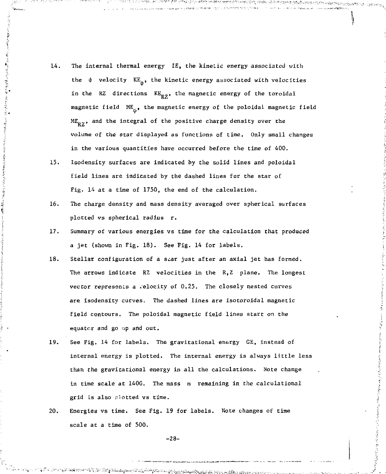- 14. The internal thermal energy IE, the kinetic energy associated with the  $\phi$  velocity  $KE_{A}$ , the kinetic energy associated with velocities in the RZ directions  $KE_{RZ}$ , the magnetic energy of the toroidal magnetic field  $ME_{\hat{n}}$ , the magnetic energy of the poloidal magnetic field  $ME_{p7}$ , and the integral of the positive charge density over the volume of the star displayed as functions of time. Only small changes in the various quantities have occurred before the time of 400.
- 15. Isodensity surfaces are indicated by the solid lines and poloidal field lines are indicated by the dashed lines for the star of Fig. 14 at a time of 1750, the end of the calculation.
- 16. The charge density and mass density averaged over spherical surfaces plotted vs spherical radius r.
- 17. Summary of various energies vs time for the calculation that produced a jet (shown in Fig. 18). See Fig, 14 for labels.
- 18. Stellar configuration of a scar just after an axial jet has formed. The arrows indicate RZ velocities in the R,Z plane. The longest vector represents a velocity of 0.25. The closely nested curves are isodensity curves. The dashed lines are isotoroidal magnetic field contours. The poloidal magnetic field lines start on the equator and go up and out.
- 19. See Fig. 14 for labels. The gravitational energy GE, instead of internal energy is plotted. The internal energy is always little less than the gravitational energy in all the calculations. Note change in time scale at 1400. The mass m remaining in the calculational grid is also plotted vs time.
- 20. Energies vs time. See Fig. 19 for labels. Note changes of time scale at a time of 500.

-28-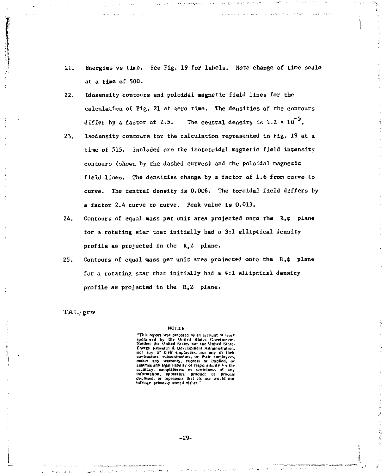- 21. Energies vs time. See Fig, 19 for labels. Note change of time scale at a time o£ 500.
- 22. Idosensity contours and poloidal magnetic field lines for the calculation of Fig. 21 at zero time. The densities of the contours differ by a factor of 2.5. The central density is  $1.2 \times 10^{-5}$ .
- 23. Isodensity contours for the calculation represented in Fig. 19 at a time of 515. Included are the isototoidal magnetic field intensity contours (shown by the dashed curves) and the poloidal magnetic field lines. The densities change by a factor of 1.6 from curve to curve. The central density is 0.006. The toroidal field differs by a factor 2.4 curve to curve. Peak value is 0.013.
- 24. Contours of equal mass per unit area projected onto the  $R, \phi$  plane for a rotating star that initially had a 3:1 elliptical density profile as projected in the *R,Z* plane.
- 25. Contours of equal mass per unit area projected onto the  $R, \phi$  plane for a rotating star that initially had a 4:1 elliptical density profile as projected in the R, 2 plane.

TAF,/grw

#### NOTICE

"This report was prepared as an account of work Fins report was prepared as an account or work<br>Neither the United States nor the United States<br>Neither the United States nor the United States nor any of their employees, nor any of their contractors, subcontractors, or their employees, makes any warranty, express or implied, or makes any warranty, express or implied, or accuracy, completeness or usefulness of any<br>information, apparatus, product or process<br>disclosed, or represents that its use would not<br>infringe privately-owned rights."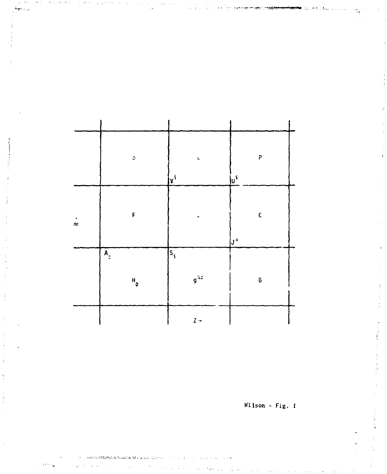|           | C.                                          | Ł<br>  <sub>V</sub> i                                                  | P<br>ju'            |
|-----------|---------------------------------------------|------------------------------------------------------------------------|---------------------|
| $\approx$ | F                                           | ÷                                                                      | $\mathsf{C}$<br> յ⊹ |
|           | $\mathbf{A}_z$<br>$\mathbf{H}_{\mathbf{p}}$ | $\bar{\mathfrak{s}}_{\mathfrak{i}}$<br>$\mathfrak{g}^{\lambda\lambda}$ | β                   |
|           |                                             | $2 -$                                                                  |                     |

.<br>เขติดตัวเป็นคนได้เป็นคนทางทางประชา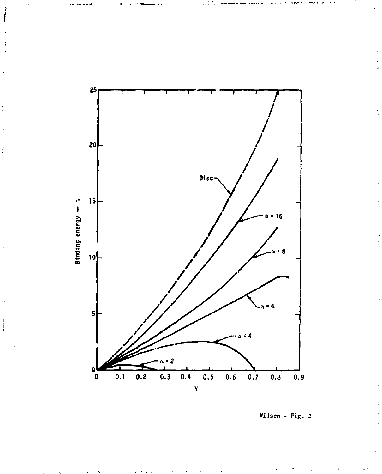

Wilson - Fig.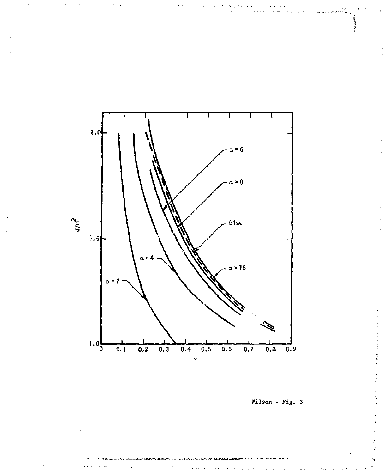

.ಜಮಾರ್ಜ್.ಮ

**Wilson - Fig. 3** 

matan dikumu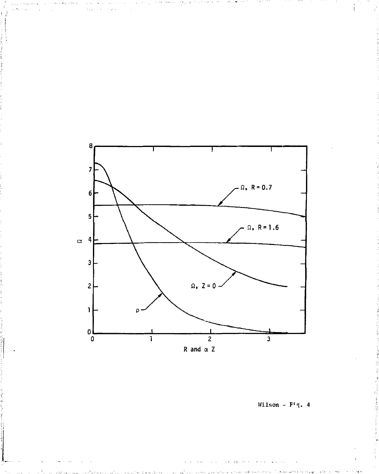

Wilson -  $F^{\frac{1}{2}}q$ . 4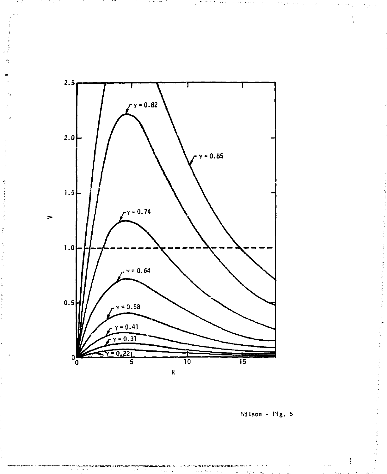

र राजा

ा क

n,

Wilson - Fig. 5

stituta este in-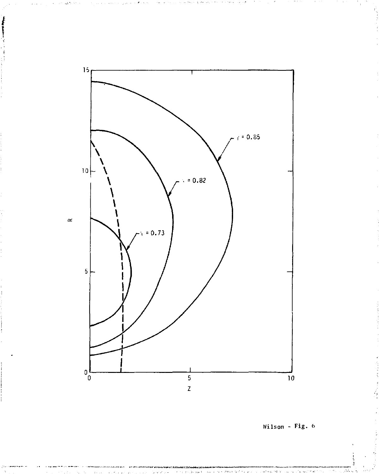

Wilson -  $Fig. 6$ 

医皮肤病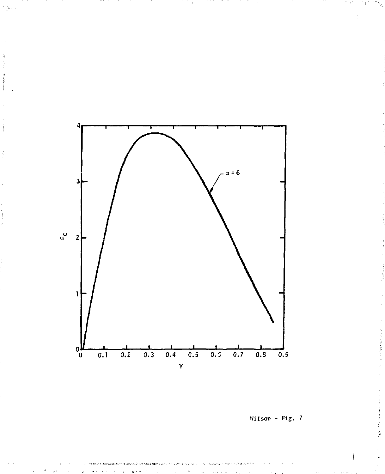

Wilson - Fig. 7

standard and more than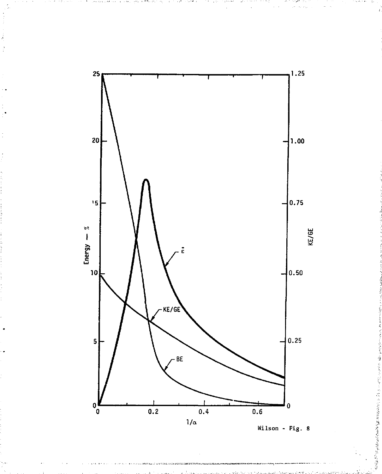

The Kirk W

 $\overline{1}$ 

e anico.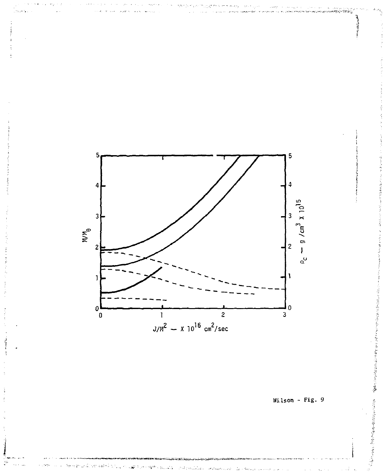

Wilson - Fig.  $9$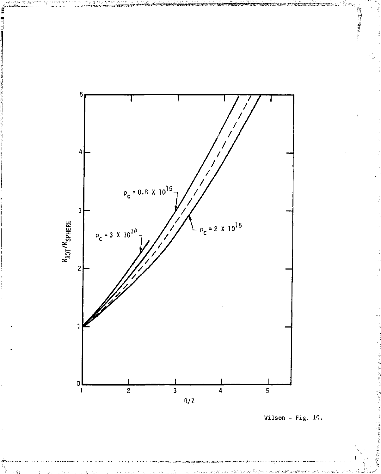

**CONTRACTOR** 

∷<br>≀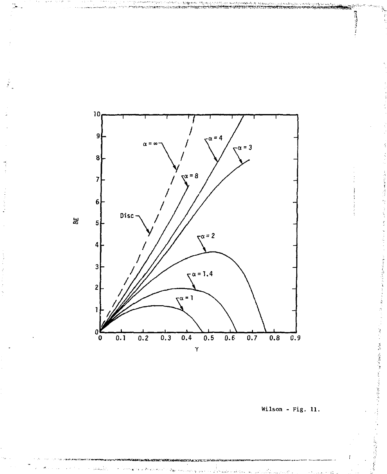

Wilson - Fig. 11.

ķ

**Contract Mark Contract Mark State**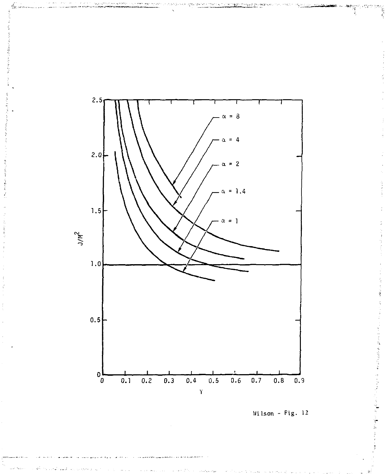

Wilson - Fig. 12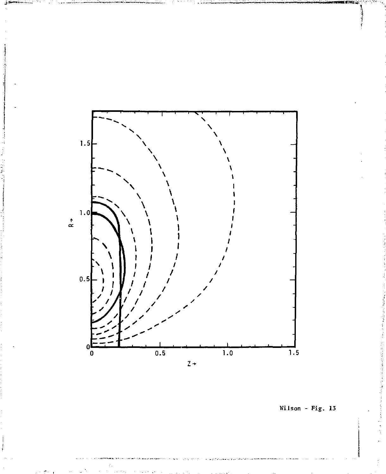

Wilson - Fig. 13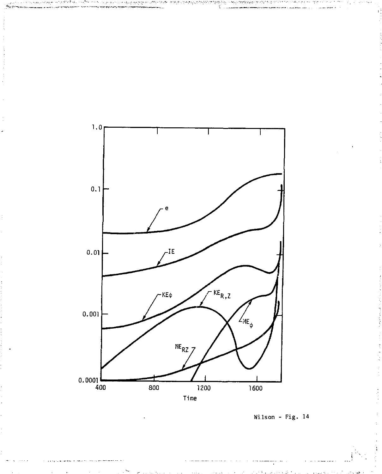

Wilson - Fig. 14

τÌ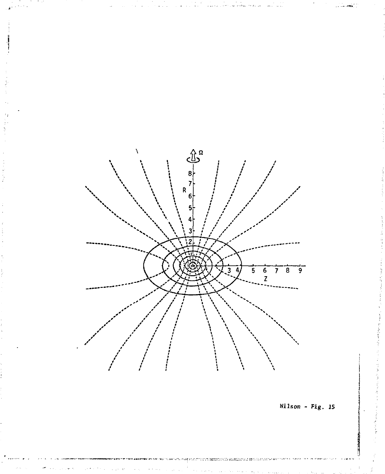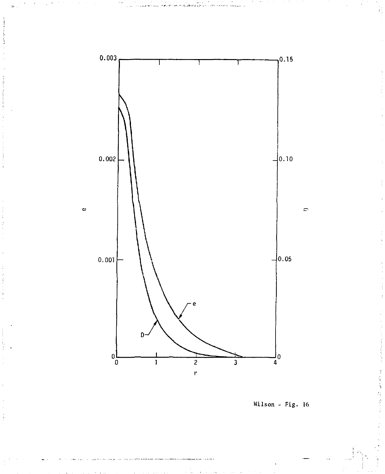

Wilson - Fig. 16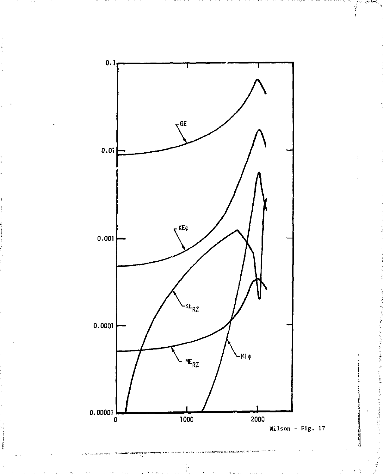

**Controllection** 

ţ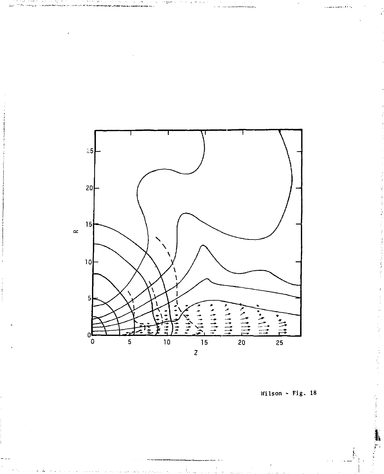

Wilson - Fig. 18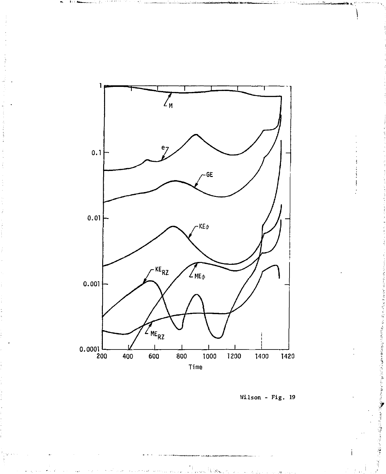

Wilson - Fig. 19

「本社にものの「冷水などので見える」ということですからのと思うのです。

**Contained Services Report**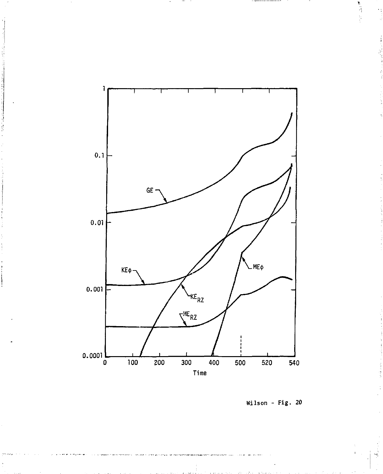

**Wilson - Fig. 20** 

医原子宫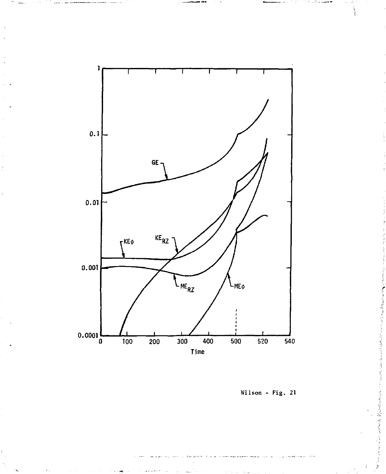

Wilson - Fig. 21

医阿尔伯氏病 医阿尔伯氏综合征

人名英格兰人姓氏麦克里斯取自父名来源于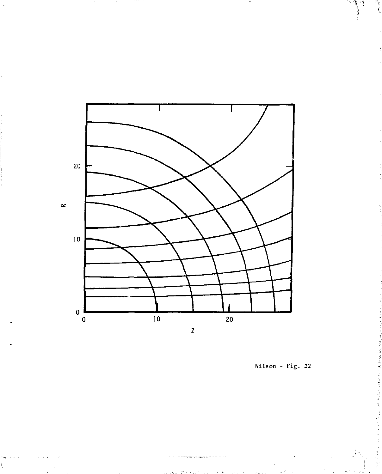

 $11.91.9$ 

Wilson - Fig. 22

š

**Contract Service** 

医单位

ŀ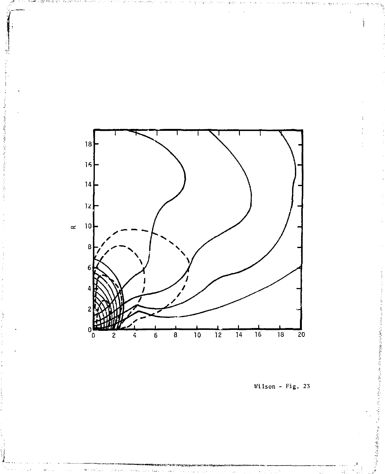

终

Wilson - Fig. 23

**THE CONSTRUCTION OF THE CONSTRUCTION OF A STATE OF A STATE OF A STATE OF A STATE OF A STATE OF A STATE OF A ST** 

**Controlled Bandwick**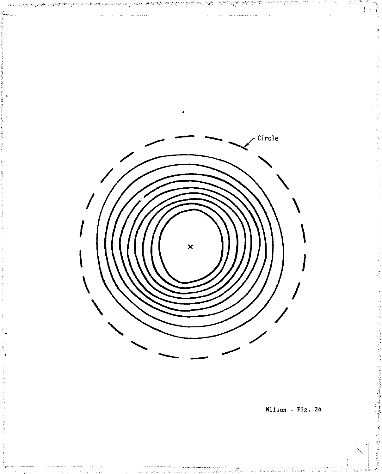